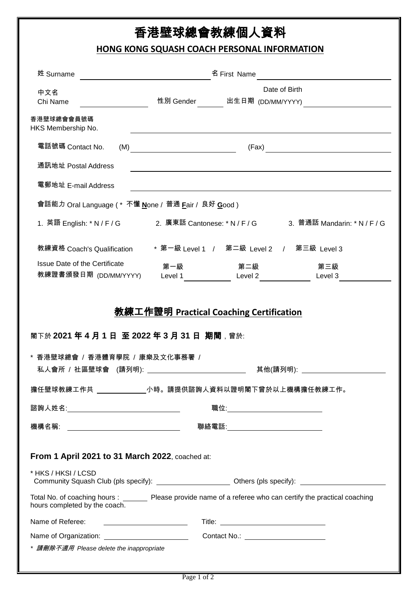# 香港壁球總會教練個人資料

## **HONG KONG SQUASH COACH PERSONAL INFORMATION**

| 姓 Surname                                                                                                                                       | 名 First Name<br><u> 1980 - Jan Barat, politik e</u>        |                                      |                                                                                                  |  |
|-------------------------------------------------------------------------------------------------------------------------------------------------|------------------------------------------------------------|--------------------------------------|--------------------------------------------------------------------------------------------------|--|
| 中文名<br>Chi Name                                                                                                                                 |                                                            |                                      | Date of Birth<br>性別 Gender     出生日期 <sub>(DD/MM/YYYY)</sub>                                      |  |
| 香港壁球總會會員號碼<br>HKS Membership No.                                                                                                                |                                                            |                                      |                                                                                                  |  |
| 電話號碼 Contact No.<br>(M)                                                                                                                         | <u> 1989 - Johann Barbara, martin a</u>                    |                                      |                                                                                                  |  |
| 通訊地址 Postal Address                                                                                                                             |                                                            |                                      |                                                                                                  |  |
| 電郵地址 E-mail Address                                                                                                                             |                                                            |                                      |                                                                                                  |  |
| 會話能力 Oral Language ( * 不懂 <u>N</u> one / 普通 <u>F</u> air / 良好 <u>G</u> ood )                                                                    |                                                            |                                      |                                                                                                  |  |
|                                                                                                                                                 |                                                            |                                      | 1. 英語 English: * N / F / G      2. 廣東話 Cantonese: * N / F / G      3.  普通話 Mandarin: * N / F / G |  |
| 教練資格 Coach's Qualification                                                                                                                      |                                                            |                                      | * 第一級 Level 1 / 第二級 Level 2 / 第三級 Level 3                                                        |  |
| Issue Date of the Certificate                                                                                                                   |                                                            | 第一級 いっぱん 第二級 いっかん しゅうかん しんりょう かんしょう  | 第三級                                                                                              |  |
|                                                                                                                                                 |                                                            |                                      |                                                                                                  |  |
| 教練證書頒發日期 <sub>(DD/MM/YYYY)</sub><br>閣下於 2021 年 4 月 1 日 至 2022 年 3 月 31 日 期間,曾於:                                                                 | Level 1 Level 2<br>教練工作證明 Practical Coaching Certification |                                      | Level 3                                                                                          |  |
| * 香港壁球總會 / 香港體育學院 / 康樂及文化事務署 /<br>私人會所 / 社區壁球會 (請列明): ____                                                                                      |                                                            |                                      | 其他(請列明): _                                                                                       |  |
| 擔任壁球教練工作共 _____________小時。請提供諮詢人資料以證明閣下曾於以上機構擔任教練工作。                                                                                            |                                                            |                                      |                                                                                                  |  |
| 諮詢人姓名:___________________________________                                                                                                       |                                                            | 職位:_________________________________ |                                                                                                  |  |
| 機構名稱: __________________________________                                                                                                        |                                                            | 聯絡電話:______________________________  |                                                                                                  |  |
| From 1 April 2021 to 31 March 2022, coached at:                                                                                                 |                                                            |                                      |                                                                                                  |  |
| * HKS / HKSI / LCSD<br>Community Squash Club (pls specify): __________________________ Others (pls specify): ______________                     |                                                            |                                      |                                                                                                  |  |
| Total No. of coaching hours : ________ Please provide name of a referee who can certify the practical coaching<br>hours completed by the coach. |                                                            |                                      |                                                                                                  |  |
| Name of Referee:<br><u> Alexandria (Carlo Carlo Carlo Carlo Carlo Carlo Carlo Carlo Carlo Carlo Carlo Carlo Carlo Carlo Carlo Carlo Ca</u>      |                                                            |                                      |                                                                                                  |  |
| * 請刪除不適用 Please delete the inappropriate                                                                                                        |                                                            | Contact No.: _______________________ |                                                                                                  |  |